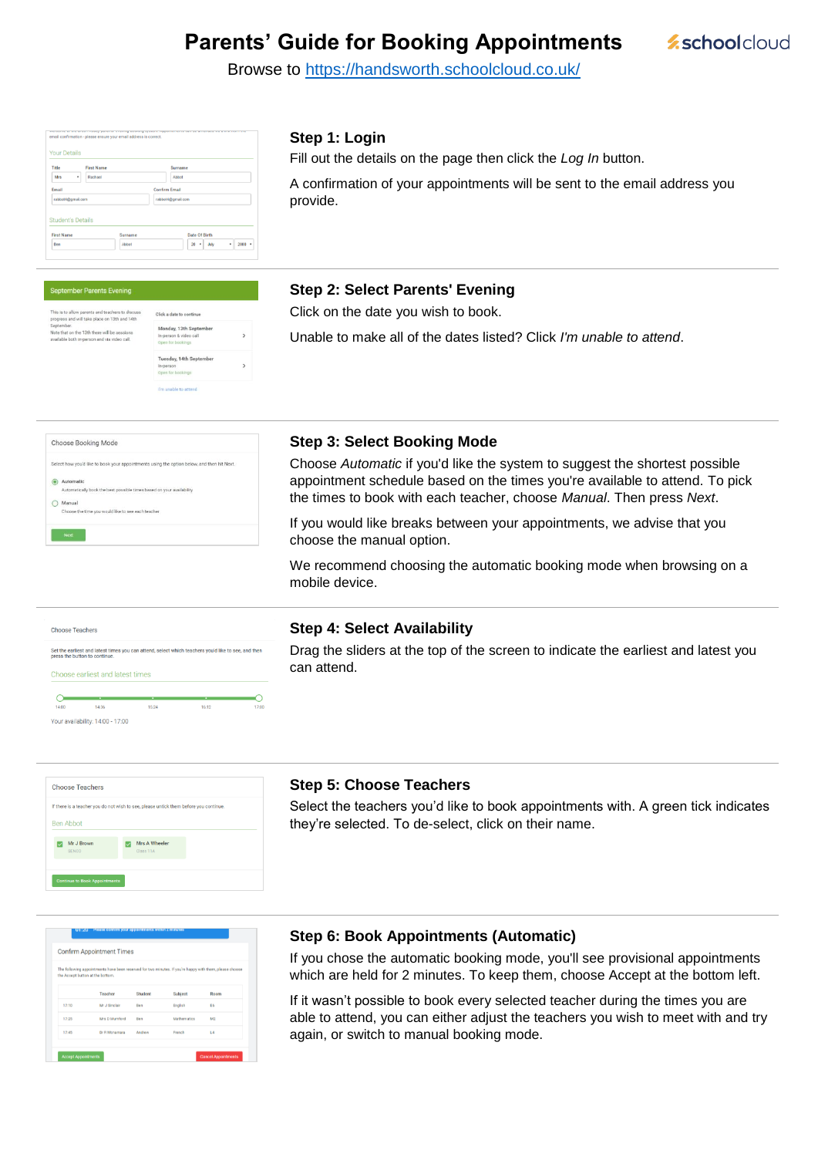# **Parents' Guide for Booking Appointments**



Browse to<https://handsworth.schoolcloud.co.uk/>

| Title                                         | <b>First Name</b> | Surname              |  |  |
|-----------------------------------------------|-------------------|----------------------|--|--|
| Mrs<br>٠                                      | Rachael           | Abbot                |  |  |
| <b>Fmail</b>                                  |                   | <b>Confirm Email</b> |  |  |
| rabbot4@gmail.com                             |                   | rabbot4@gmail.com    |  |  |
|                                               |                   |                      |  |  |
| <b>Student's Details</b><br><b>First Name</b> | Surname           | <b>Date Of Birth</b> |  |  |

#### **Step 1: Login**

Fill out the details on the page then click the *Log In* button.

A confirmation of your appointments will be sent to the email address you provide.

#### September Parents Evening

| sarents and teachers to discuss<br>I take place on 13th and 14th | Click a date to continue                                              |  |
|------------------------------------------------------------------|-----------------------------------------------------------------------|--|
| 13th there will be sessions<br>person and via video call.        | Monday, 13th September<br>In-person & video call<br>Open for bookings |  |
|                                                                  | Tuesday, 14th September<br>In-person<br>Open for bookings             |  |
|                                                                  |                                                                       |  |

#### **Step 2: Select Parents' Evening**

Click on the date you wish to book.

Unable to make all of the dates listed? Click *I'm unable to attend*.

| Select how you'd like to book your appointments using the option below, and then hit Next. |
|--------------------------------------------------------------------------------------------|
| Automatic                                                                                  |
| Automatically book the best possible times based on your availability                      |
| Manual                                                                                     |
| Choose the time you would like to see each teacher                                         |

## **Step 3: Select Booking Mode**

Choose *Automatic* if you'd like the system to suggest the shortest possible appointment schedule based on the times you're available to attend. To pick the times to book with each teacher, choose *Manual*. Then press *Next*.

If you would like breaks between your appointments, we advise that you choose the manual option.

We recommend choosing the automatic booking mode when browsing on a mobile device.

| <b>Choose Teachers</b> |                                  |                                                                                                     |  |
|------------------------|----------------------------------|-----------------------------------------------------------------------------------------------------|--|
|                        | press the button to continue.    | Set the earliest and latest times you can attend, select which teachers you'd like to see, and then |  |
|                        | Choose earliest and latest times |                                                                                                     |  |
|                        |                                  | ٠                                                                                                   |  |

our availability: 14:00 - 17:00

#### **Step 4: Select Availability**

Drag the sliders at the top of the screen to indicate the earliest and latest you can attend.

|                     | If there is a teacher you do not wish to see, please untick them before you continue. |  |
|---------------------|---------------------------------------------------------------------------------------|--|
| <b>Ben Abbot</b>    |                                                                                       |  |
|                     |                                                                                       |  |
| Mr J Brown<br>SENCO | Mrs A Wheeler<br>Class 11A                                                            |  |
|                     |                                                                                       |  |

#### **Step 5: Choose Teachers**

Select the teachers you'd like to book appointments with. A green tick indicates they're selected. To de-select, click on their name.

| <b>Confirm Appointment Times</b>                                                                                                            |               |         |             |                |  |
|---------------------------------------------------------------------------------------------------------------------------------------------|---------------|---------|-------------|----------------|--|
| The following appointments have been reserved for two minutes. If you're happy with them, please choose<br>the Accept button at the bottom. |               |         |             |                |  |
|                                                                                                                                             | Teacher       | Student | Subject     | Room           |  |
| 17:10                                                                                                                                       | Mr J Sinclair | Ben     | English     | E6             |  |
| 17:25                                                                                                                                       | Mrs D Mumford | Ben     | Mathematics | M <sub>2</sub> |  |
|                                                                                                                                             | Dr R Mcnamara | Andrew  | French      | L4             |  |

#### **Step 6: Book Appointments (Automatic)**

If you chose the automatic booking mode, you'll see provisional appointments which are held for 2 minutes. To keep them, choose Accept at the bottom left.

If it wasn't possible to book every selected teacher during the times you are able to attend, you can either adjust the teachers you wish to meet with and try again, or switch to manual booking mode.